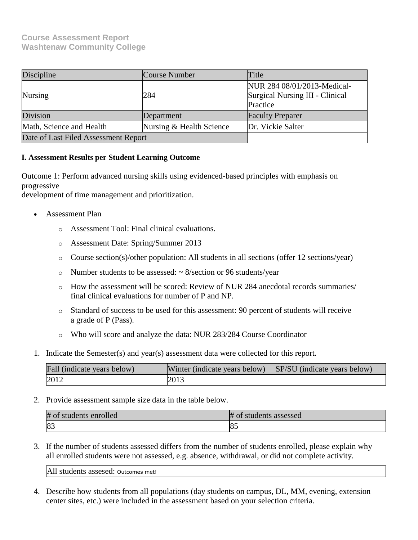## **Course Assessment Report Washtenaw Community College**

| Discipline                           | <b>Course Number</b>     | Title                                                                      |
|--------------------------------------|--------------------------|----------------------------------------------------------------------------|
| <b>Nursing</b>                       | 284                      | NUR 284 08/01/2013-Medical-<br>Surgical Nursing III - Clinical<br>Practice |
| Division                             | Department               | <b>Faculty Preparer</b>                                                    |
| Math, Science and Health             | Nursing & Health Science | Dr. Vickie Salter                                                          |
| Date of Last Filed Assessment Report |                          |                                                                            |

## **I. Assessment Results per Student Learning Outcome**

Outcome 1: Perform advanced nursing skills using evidenced-based principles with emphasis on progressive

development of time management and prioritization.

- Assessment Plan
	- o Assessment Tool: Final clinical evaluations.
	- o Assessment Date: Spring/Summer 2013
	- o Course section(s)/other population: All students in all sections (offer 12 sections/year)
	- $\circ$  Number students to be assessed:  $\sim$  8/section or 96 students/year
	- o How the assessment will be scored: Review of NUR 284 anecdotal records summaries/ final clinical evaluations for number of P and NP.
	- o Standard of success to be used for this assessment: 90 percent of students will receive a grade of P (Pass).
	- o Who will score and analyze the data: NUR 283/284 Course Coordinator
- 1. Indicate the Semester(s) and year(s) assessment data were collected for this report.

| Fall (indicate years below) | Winter (indicate years below) SP/SU (indicate years below) |  |
|-----------------------------|------------------------------------------------------------|--|
| 2012                        | 2013                                                       |  |

2. Provide assessment sample size data in the table below.

| # of students enrolled | $#$ of<br>students assessed |
|------------------------|-----------------------------|
| 83                     | ю.                          |

3. If the number of students assessed differs from the number of students enrolled, please explain why all enrolled students were not assessed, e.g. absence, withdrawal, or did not complete activity.

All students assesed: Outcomes met!

4. Describe how students from all populations (day students on campus, DL, MM, evening, extension center sites, etc.) were included in the assessment based on your selection criteria.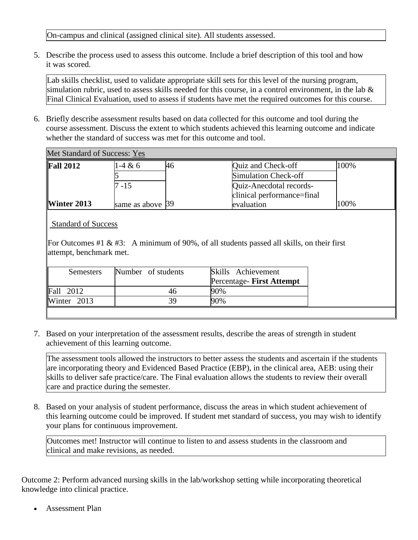On-campus and clinical (assigned clinical site). All students assessed.

5. Describe the process used to assess this outcome. Include a brief description of this tool and how it was scored.

Lab skills checklist, used to validate appropriate skill sets for this level of the nursing program, simulation rubric, used to assess skills needed for this course, in a control environment, in the lab & Final Clinical Evaluation, used to assess if students have met the required outcomes for this course.

6. Briefly describe assessment results based on data collected for this outcome and tool during the course assessment. Discuss the extent to which students achieved this learning outcome and indicate whether the standard of success was met for this outcome and tool.

| Met Standard of Success: Yes |                  |    |                            |      |
|------------------------------|------------------|----|----------------------------|------|
| <b>Fall 2012</b>             | 1-4 & 6          | 46 | Quiz and Check-off         | 100% |
|                              |                  |    | Simulation Check-off       |      |
|                              | 7 - 15           |    | Quiz-Anecdotal records-    |      |
|                              |                  |    | clinical performance=final |      |
| <b>Winter 2013</b>           | same as above 39 |    | evaluation                 | 100% |
|                              |                  |    |                            |      |

Standard of Success

For Outcomes #1 & #3: A minimum of 90%, of all students passed all skills, on their first attempt, benchmark met.

| Semesters              | Number of students | Skills Achievement<br>Percentage- First Attempt |
|------------------------|--------------------|-------------------------------------------------|
| $\text{Fall } 2012$    |                    | 90%                                             |
| $\text{Winter}\,$ 2013 | 39                 | $90\%$                                          |

7. Based on your interpretation of the assessment results, describe the areas of strength in student achievement of this learning outcome.

The assessment tools allowed the instructors to better assess the students and ascertain if the students are incorporating theory and Evidenced Based Practice (EBP), in the clinical area, AEB: using their skills to deliver safe practice/care. The Final evaluation allows the students to review their overall care and practice during the semester.

8. Based on your analysis of student performance, discuss the areas in which student achievement of this learning outcome could be improved. If student met standard of success, you may wish to identify your plans for continuous improvement.

Outcomes met! Instructor will continue to listen to and assess students in the classroom and clinical and make revisions, as needed.

Outcome 2: Perform advanced nursing skills in the lab/workshop setting while incorporating theoretical knowledge into clinical practice.

Assessment Plan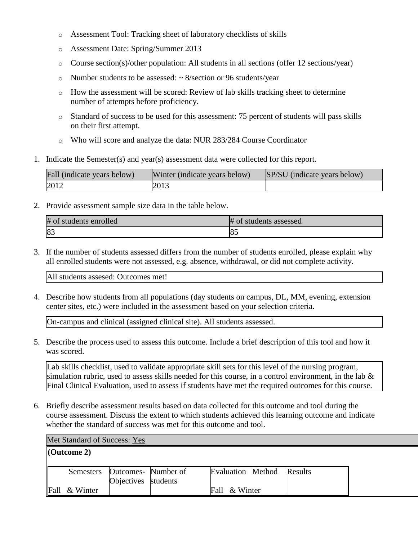- o Assessment Tool: Tracking sheet of laboratory checklists of skills
- o Assessment Date: Spring/Summer 2013
- o Course section(s)/other population: All students in all sections (offer 12 sections/year)
- $\circ$  Number students to be assessed:  $\sim$  8/section or 96 students/year
- o How the assessment will be scored: Review of lab skills tracking sheet to determine number of attempts before proficiency.
- o Standard of success to be used for this assessment: 75 percent of students will pass skills on their first attempt.
- o Who will score and analyze the data: NUR 283/284 Course Coordinator
- 1. Indicate the Semester(s) and year(s) assessment data were collected for this report.

| Fall (indicate years below) | Winter (indicate years below) | SP/SU (indicate years below) |
|-----------------------------|-------------------------------|------------------------------|
| 2012                        | 2013                          |                              |

2. Provide assessment sample size data in the table below.

| #<br>students enrolled<br>Ωt | students assessed<br>0t |
|------------------------------|-------------------------|
| IΩ<br>$10-$                  | ю.                      |

3. If the number of students assessed differs from the number of students enrolled, please explain why all enrolled students were not assessed, e.g. absence, withdrawal, or did not complete activity.

All students assesed: Outcomes met!

4. Describe how students from all populations (day students on campus, DL, MM, evening, extension center sites, etc.) were included in the assessment based on your selection criteria.

On-campus and clinical (assigned clinical site). All students assessed.

5. Describe the process used to assess this outcome. Include a brief description of this tool and how it was scored.

Lab skills checklist, used to validate appropriate skill sets for this level of the nursing program, simulation rubric, used to assess skills needed for this course, in a control environment, in the lab  $\&$ Final Clinical Evaluation, used to assess if students have met the required outcomes for this course.

6. Briefly describe assessment results based on data collected for this outcome and tool during the course assessment. Discuss the extent to which students achieved this learning outcome and indicate whether the standard of success was met for this outcome and tool.

| Met Standard of Success: Yes |                     |                                                      |  |                           |  |  |
|------------------------------|---------------------|------------------------------------------------------|--|---------------------------|--|--|
|                              | $\vert$ (Outcome 2) |                                                      |  |                           |  |  |
|                              |                     | Semesters Outcomes- Number of<br>Objectives students |  | Evaluation Method Results |  |  |
| Fall                         | & Winter            |                                                      |  | Fall & Winter             |  |  |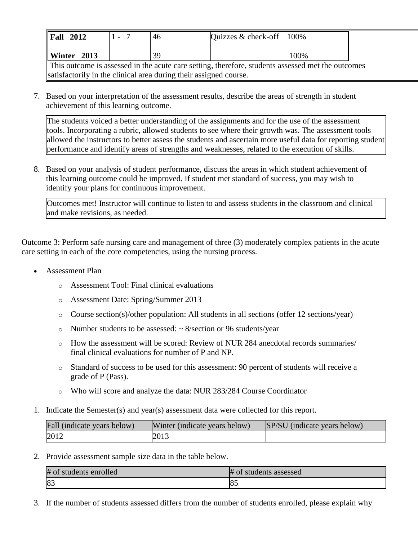| $\ $ Fall<br>2012 | 46 | Quizzes & check-off                                                                               | 100% |
|-------------------|----|---------------------------------------------------------------------------------------------------|------|
| Winter $2013$     | 39 |                                                                                                   | 100% |
|                   |    | This outcome is assessed in the acute care setting, therefore, students assessed met the outcomes |      |

satisfactorily in the clinical area during their assigned course.

7. Based on your interpretation of the assessment results, describe the areas of strength in student achievement of this learning outcome.

The students voiced a better understanding of the assignments and for the use of the assessment tools. Incorporating a rubric, allowed students to see where their growth was. The assessment tools allowed the instructors to better assess the students and ascertain more useful data for reporting student performance and identify areas of strengths and weaknesses, related to the execution of skills.

8. Based on your analysis of student performance, discuss the areas in which student achievement of this learning outcome could be improved. If student met standard of success, you may wish to identify your plans for continuous improvement.

Outcomes met! Instructor will continue to listen to and assess students in the classroom and clinical and make revisions, as needed.

Outcome 3: Perform safe nursing care and management of three (3) moderately complex patients in the acute care setting in each of the core competencies, using the nursing process.

- Assessment Plan
	- o Assessment Tool: Final clinical evaluations
	- o Assessment Date: Spring/Summer 2013
	- o Course section(s)/other population: All students in all sections (offer 12 sections/year)
	- $\circ$  Number students to be assessed:  $\sim$  8/section or 96 students/year
	- $\circ$  How the assessment will be scored: Review of NUR 284 anecdotal records summaries/ final clinical evaluations for number of P and NP.
	- o Standard of success to be used for this assessment: 90 percent of students will receive a grade of P (Pass).
	- o Who will score and analyze the data: NUR 283/284 Course Coordinator
- 1. Indicate the Semester(s) and year(s) assessment data were collected for this report.

| Fall (indicate years below) | Winter (indicate years below) | SP/SU (indicate years below) |
|-----------------------------|-------------------------------|------------------------------|
| 2012                        | 2013                          |                              |

2. Provide assessment sample size data in the table below.

| # of students enrolled | # of students assessed |
|------------------------|------------------------|
| 83                     | IO<br>IO.              |

3. If the number of students assessed differs from the number of students enrolled, please explain why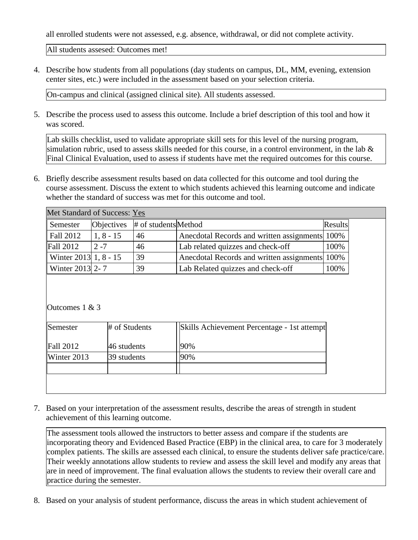all enrolled students were not assessed, e.g. absence, withdrawal, or did not complete activity.

All students assesed: Outcomes met!

4. Describe how students from all populations (day students on campus, DL, MM, evening, extension center sites, etc.) were included in the assessment based on your selection criteria.

On-campus and clinical (assigned clinical site). All students assessed.

5. Describe the process used to assess this outcome. Include a brief description of this tool and how it was scored.

Lab skills checklist, used to validate appropriate skill sets for this level of the nursing program, simulation rubric, used to assess skills needed for this course, in a control environment, in the lab & Final Clinical Evaluation, used to assess if students have met the required outcomes for this course.

6. Briefly describe assessment results based on data collected for this outcome and tool during the course assessment. Discuss the extent to which students achieved this learning outcome and indicate whether the standard of success was met for this outcome and tool.

| Met Standard of Success: Yes |             |                                   |                                                |         |
|------------------------------|-------------|-----------------------------------|------------------------------------------------|---------|
| Semester                     |             | Objectives $#$ of students Method |                                                | Results |
| $\vert$ Fall 2012            | $1, 8 - 15$ | 46                                | Anecdotal Records and written assignments 100% |         |
| <b>Fall 2012</b>             | $2 - 7$     | 46                                | Lab related quizzes and check-off              | 100%    |
| Winter 2013 1, 8 - 15        |             | 39                                | Anecdotal Records and written assignments 100% |         |
| Winter 2013 2-7              |             | 39                                | Lab Related quizzes and check-off              | 100%    |

Outcomes 1 & 3

| Semester         | # of Students | Skills Achievement Percentage - 1st attempt |
|------------------|---------------|---------------------------------------------|
| <b>Fall 2012</b> | 46 students   | 90%                                         |
| Winter 2013      | 39 students   | 90%                                         |
|                  |               |                                             |
|                  |               |                                             |

7. Based on your interpretation of the assessment results, describe the areas of strength in student achievement of this learning outcome.

The assessment tools allowed the instructors to better assess and compare if the students are incorporating theory and Evidenced Based Practice (EBP) in the clinical area, to care for 3 moderately complex patients. The skills are assessed each clinical, to ensure the students deliver safe practice/care. Their weekly annotations allow students to review and assess the skill level and modify any areas that are in need of improvement. The final evaluation allows the students to review their overall care and practice during the semester.

8. Based on your analysis of student performance, discuss the areas in which student achievement of